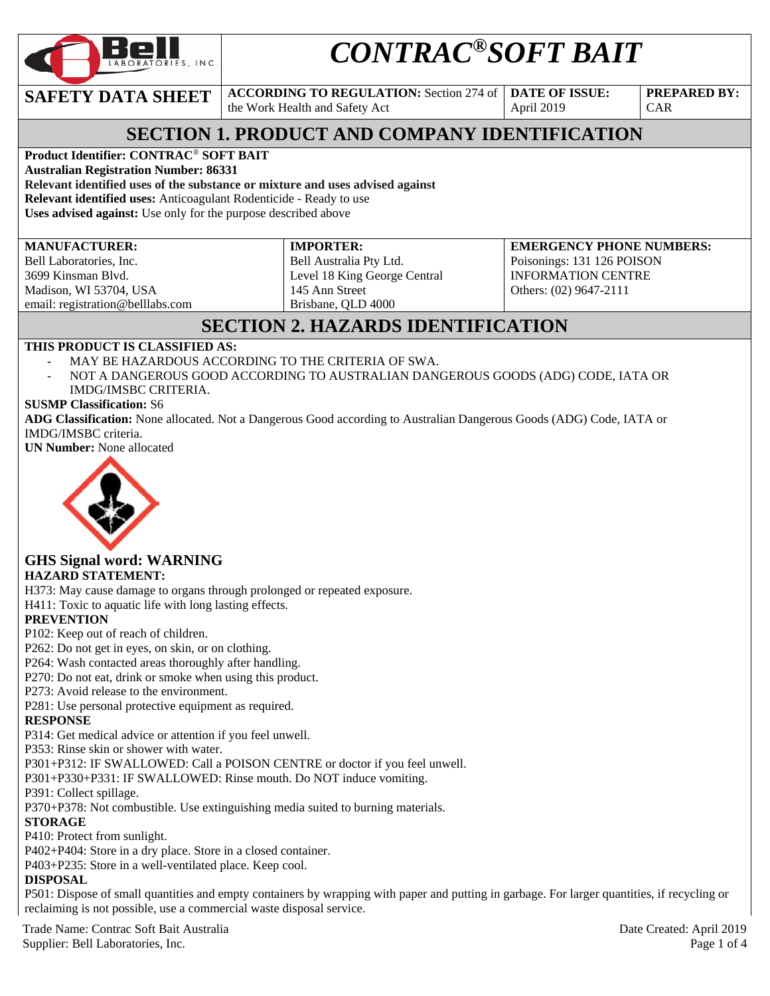

# *CONTRAC®SOFT BAIT*

**SAFETY DATA SHEET ACCORDING TO REGULATION:** Section 274 of

the Work Health and Safety Act

**DATE OF ISSUE:**  April 2019

**PREPARED BY:**  CAR

# **SECTION 1. PRODUCT AND COMPANY IDENTIFICATION**

### **Product Identifier: CONTRAC**® **SOFT BAIT**

**Australian Registration Number: 86331** 

**Relevant identified uses of the substance or mixture and uses advised against Relevant identified uses:** Anticoagulant Rodenticide - Ready to use

**Uses advised against:** Use only for the purpose described above

#### **MANUFACTURER:**

Bell Laboratories, Inc. 3699 Kinsman Blvd. Madison, WI 53704, USA email: registration@belllabs.com

#### **IMPORTER:**  Bell Australia Pty Ltd.

Level 18 King George Central 145 Ann Street Brisbane, QLD 4000

**EMERGENCY PHONE NUMBERS:**  Poisonings: 131 126 POISON INFORMATION CENTRE Others: (02) 9647-2111

# **SECTION 2. HAZARDS IDENTIFICATION**

#### **THIS PRODUCT IS CLASSIFIED AS:**

- MAY BE HAZARDOUS ACCORDING TO THE CRITERIA OF SWA.
- NOT A DANGEROUS GOOD ACCORDING TO AUSTRALIAN DANGEROUS GOODS (ADG) CODE, IATA OR IMDG/IMSBC CRITERIA.

#### **SUSMP Classification:** S6

**ADG Classification:** None allocated. Not a Dangerous Good according to Australian Dangerous Goods (ADG) Code, IATA or IMDG/IMSBC criteria.

**UN Number:** None allocated



### **GHS Signal word: WARNING**

#### **HAZARD STATEMENT:**

H373: May cause damage to organs through prolonged or repeated exposure.

H411: Toxic to aquatic life with long lasting effects.

#### **PREVENTION**

P102: Keep out of reach of children.

P262: Do not get in eyes, on skin, or on clothing.

P264: Wash contacted areas thoroughly after handling.

P270: Do not eat, drink or smoke when using this product.

P273: Avoid release to the environment.

P281: Use personal protective equipment as required.

#### **RESPONSE**

P314: Get medical advice or attention if you feel unwell.

P353: Rinse skin or shower with water.

P301+P312: IF SWALLOWED: Call a POISON CENTRE or doctor if you feel unwell.

P301+P330+P331: IF SWALLOWED: Rinse mouth. Do NOT induce vomiting.

P391: Collect spillage.

P370+P378: Not combustible. Use extinguishing media suited to burning materials.

#### **STORAGE**

P410: Protect from sunlight.

P402+P404: Store in a dry place. Store in a closed container.

P403+P235: Store in a well-ventilated place. Keep cool.

#### **DISPOSAL**

P501: Dispose of small quantities and empty containers by wrapping with paper and putting in garbage. For larger quantities, if recycling or reclaiming is not possible, use a commercial waste disposal service.

Trade Name: Contrac Soft Bait Australia Date Created: April 2019 Supplier: Bell Laboratories, Inc. 2008 Page 1 of 4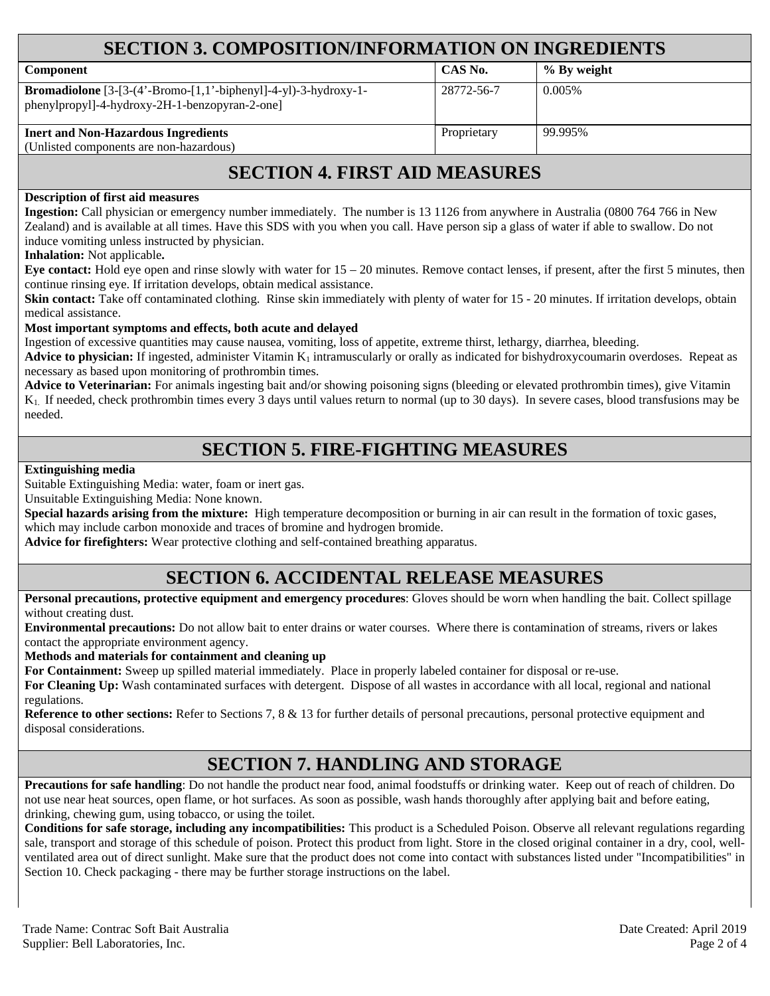| <b>SECTION 3. COMPOSITION/INFORMATION ON INGREDIENTS</b>                                                                |             |             |  |  |
|-------------------------------------------------------------------------------------------------------------------------|-------------|-------------|--|--|
| <b>Component</b>                                                                                                        | CAS No.     | % By weight |  |  |
| <b>Bromadiolone</b> $[3-(4'-Bromo-[1,1'-biphenyl]-4-yl)-3-hydroxy-1-$<br>phenylpropyl]-4-hydroxy-2H-1-benzopyran-2-one] | 28772-56-7  | 0.005\%     |  |  |
| <b>Inert and Non-Hazardous Ingredients</b><br>(Unlisted components are non-hazardous)                                   | Proprietary | 99.995%     |  |  |

# **SECTION 4. FIRST AID MEASURES**

#### **Description of first aid measures**

**Ingestion:** Call physician or emergency number immediately. The number is 13 1126 from anywhere in Australia (0800 764 766 in New Zealand) and is available at all times. Have this SDS with you when you call. Have person sip a glass of water if able to swallow. Do not induce vomiting unless instructed by physician.

#### **Inhalation:** Not applicable**.**

**Eye contact:** Hold eye open and rinse slowly with water for 15 – 20 minutes. Remove contact lenses, if present, after the first 5 minutes, then continue rinsing eye. If irritation develops, obtain medical assistance.

**Skin contact:** Take off contaminated clothing. Rinse skin immediately with plenty of water for 15 - 20 minutes. If irritation develops, obtain medical assistance.

#### **Most important symptoms and effects, both acute and delayed**

Ingestion of excessive quantities may cause nausea, vomiting, loss of appetite, extreme thirst, lethargy, diarrhea, bleeding.

**Advice to physician:** If ingested, administer Vitamin  $K_1$  intramuscularly or orally as indicated for bishydroxycoumarin overdoses. Repeat as necessary as based upon monitoring of prothrombin times.

Advice to Veterinarian: For animals ingesting bait and/or showing poisoning signs (bleeding or elevated prothrombin times), give Vitamin K1. If needed, check prothrombin times every 3 days until values return to normal (up to 30 days). In severe cases, blood transfusions may be needed.

## **SECTION 5. FIRE-FIGHTING MEASURES**

#### **Extinguishing media**

Suitable Extinguishing Media: water, foam or inert gas.

Unsuitable Extinguishing Media: None known.

**Special hazards arising from the mixture:** High temperature decomposition or burning in air can result in the formation of toxic gases, which may include carbon monoxide and traces of bromine and hydrogen bromide.

**Advice for firefighters:** Wear protective clothing and self-contained breathing apparatus.

## **SECTION 6. ACCIDENTAL RELEASE MEASURES**

**Personal precautions, protective equipment and emergency procedures**: Gloves should be worn when handling the bait. Collect spillage without creating dust.

**Environmental precautions:** Do not allow bait to enter drains or water courses. Where there is contamination of streams, rivers or lakes contact the appropriate environment agency.

**Methods and materials for containment and cleaning up**

**For Containment:** Sweep up spilled material immediately. Place in properly labeled container for disposal or re-use.

**For Cleaning Up:** Wash contaminated surfaces with detergent. Dispose of all wastes in accordance with all local, regional and national regulations.

**Reference to other sections:** Refer to Sections 7, 8 & 13 for further details of personal precautions, personal protective equipment and disposal considerations.

# **SECTION 7. HANDLING AND STORAGE**

**Precautions for safe handling**: Do not handle the product near food, animal foodstuffs or drinking water. Keep out of reach of children. Do not use near heat sources, open flame, or hot surfaces. As soon as possible, wash hands thoroughly after applying bait and before eating, drinking, chewing gum, using tobacco, or using the toilet.

**Conditions for safe storage, including any incompatibilities:** This product is a Scheduled Poison. Observe all relevant regulations regarding sale, transport and storage of this schedule of poison. Protect this product from light. Store in the closed original container in a dry, cool, wellventilated area out of direct sunlight. Make sure that the product does not come into contact with substances listed under "Incompatibilities" in Section 10. Check packaging - there may be further storage instructions on the label.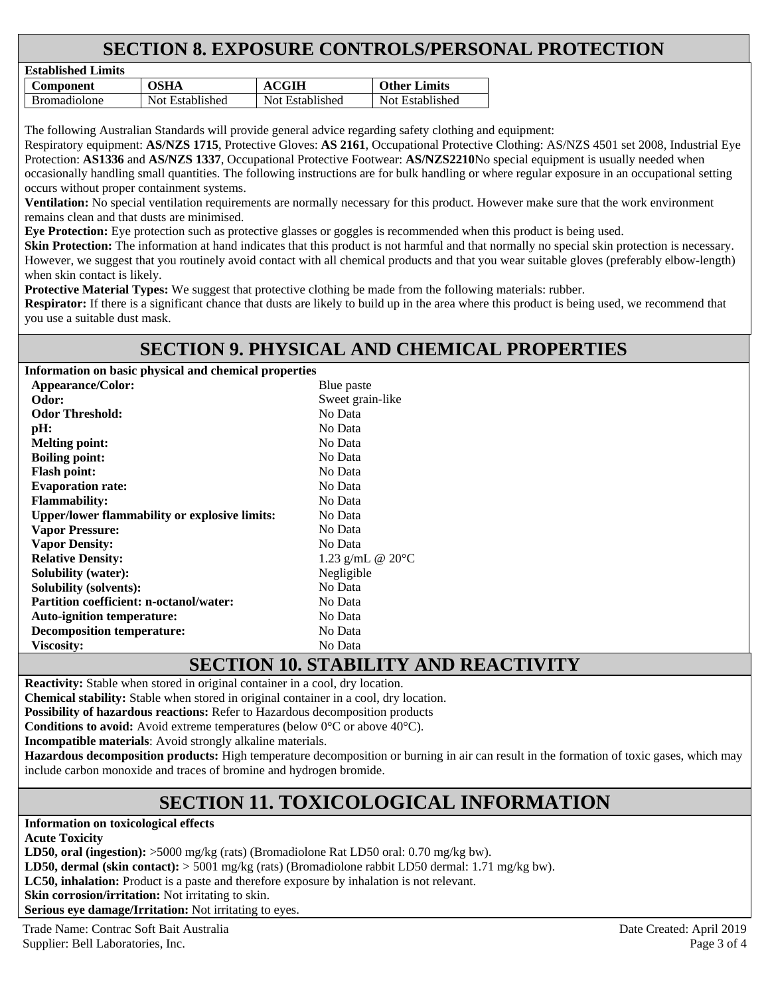# **SECTION 8. EXPOSURE CONTROLS/PERSONAL PROTECTION**

| Established Lillins |                 |                 |                     |
|---------------------|-----------------|-----------------|---------------------|
| Component           | OSHA            | ACGIH           | <b>Other Limits</b> |
| <b>Bromadiolone</b> | Not Established | Not Established | Not Established     |

The following Australian Standards will provide general advice regarding safety clothing and equipment:

Respiratory equipment: **AS/NZS 1715**, Protective Gloves: **AS 2161**, Occupational Protective Clothing: AS/NZS 4501 set 2008, Industrial Eye Protection: **AS1336** and **AS/NZS 1337**, Occupational Protective Footwear: **AS/NZS2210**No special equipment is usually needed when occasionally handling small quantities. The following instructions are for bulk handling or where regular exposure in an occupational setting occurs without proper containment systems.

**Ventilation:** No special ventilation requirements are normally necessary for this product. However make sure that the work environment remains clean and that dusts are minimised.

**Eye Protection:** Eye protection such as protective glasses or goggles is recommended when this product is being used.

**Skin Protection:** The information at hand indicates that this product is not harmful and that normally no special skin protection is necessary. However, we suggest that you routinely avoid contact with all chemical products and that you wear suitable gloves (preferably elbow-length) when skin contact is likely.

**Protective Material Types:** We suggest that protective clothing be made from the following materials: rubber.

**Respirator:** If there is a significant chance that dusts are likely to build up in the area where this product is being used, we recommend that you use a suitable dust mask.

# **SECTION 9. PHYSICAL AND CHEMICAL PROPERTIES**

**Information on basic physical and chemical properties** 

**Established Limits** 

| <b>Appearance/Color:</b>                             | Blue paste                           |  |
|------------------------------------------------------|--------------------------------------|--|
| Odor:                                                | Sweet grain-like                     |  |
| <b>Odor Threshold:</b>                               | No Data                              |  |
| pH:                                                  | No Data                              |  |
| <b>Melting point:</b>                                | No Data                              |  |
| <b>Boiling point:</b>                                | No Data                              |  |
| <b>Flash point:</b>                                  | No Data                              |  |
| <b>Evaporation rate:</b>                             | No Data                              |  |
| <b>Flammability:</b>                                 | No Data                              |  |
| <b>Upper/lower flammability or explosive limits:</b> | No Data                              |  |
| <b>Vapor Pressure:</b>                               | No Data                              |  |
| <b>Vapor Density:</b>                                | No Data                              |  |
| <b>Relative Density:</b>                             | 1.23 g/mL $@ 20°C$                   |  |
| <b>Solubility (water):</b>                           | Negligible                           |  |
| <b>Solubility (solvents):</b>                        | No Data                              |  |
| <b>Partition coefficient: n-octanol/water:</b>       | No Data                              |  |
| <b>Auto-ignition temperature:</b>                    | No Data                              |  |
| <b>Decomposition temperature:</b>                    | No Data                              |  |
| <b>Viscositv:</b>                                    | No Data                              |  |
|                                                      | $O = O$ $O = O - 40$ $O = 1$ $O = 7$ |  |

# **SECTION 10. STABILITY AND REACTIVITY**

**Reactivity:** Stable when stored in original container in a cool, dry location.

**Chemical stability:** Stable when stored in original container in a cool, dry location.

**Possibility of hazardous reactions:** Refer to Hazardous decomposition products

**Conditions to avoid:** Avoid extreme temperatures (below 0°C or above 40°C).

**Incompatible materials**: Avoid strongly alkaline materials.

**Hazardous decomposition products:** High temperature decomposition or burning in air can result in the formation of toxic gases, which may include carbon monoxide and traces of bromine and hydrogen bromide.

# **SECTION 11. TOXICOLOGICAL INFORMATION**

**Information on toxicological effects** 

**Acute Toxicity** 

**LD50, oral (ingestion):** >5000 mg/kg (rats) (Bromadiolone Rat LD50 oral: 0.70 mg/kg bw).

**LD50, dermal (skin contact):** > 5001 mg/kg (rats) (Bromadiolone rabbit LD50 dermal: 1.71 mg/kg bw).

**LC50, inhalation:** Product is a paste and therefore exposure by inhalation is not relevant.

**Skin corrosion/irritation:** Not irritating to skin.

**Serious eye damage/Irritation:** Not irritating to eyes.